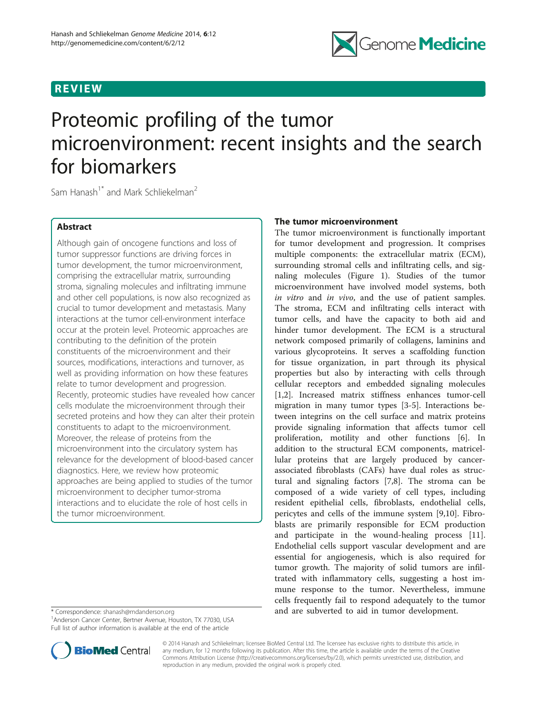## REVIEW



# Proteomic profiling of the tumor microenvironment: recent insights and the search for biomarkers

Sam Hanash<sup>1\*</sup> and Mark Schliekelman<sup>2</sup>

## Abstract

Although gain of oncogene functions and loss of tumor suppressor functions are driving forces in tumor development, the tumor microenvironment, comprising the extracellular matrix, surrounding stroma, signaling molecules and infiltrating immune and other cell populations, is now also recognized as crucial to tumor development and metastasis. Many interactions at the tumor cell-environment interface occur at the protein level. Proteomic approaches are contributing to the definition of the protein constituents of the microenvironment and their sources, modifications, interactions and turnover, as well as providing information on how these features relate to tumor development and progression. Recently, proteomic studies have revealed how cancer cells modulate the microenvironment through their secreted proteins and how they can alter their protein constituents to adapt to the microenvironment. Moreover, the release of proteins from the microenvironment into the circulatory system has relevance for the development of blood-based cancer diagnostics. Here, we review how proteomic approaches are being applied to studies of the tumor microenvironment to decipher tumor-stroma interactions and to elucidate the role of host cells in the tumor microenvironment.

## The tumor microenvironment

The tumor microenvironment is functionally important for tumor development and progression. It comprises multiple components: the extracellular matrix (ECM), surrounding stromal cells and infiltrating cells, and signaling molecules (Figure [1](#page-1-0)). Studies of the tumor microenvironment have involved model systems, both in vitro and in vivo, and the use of patient samples. The stroma, ECM and infiltrating cells interact with tumor cells, and have the capacity to both aid and hinder tumor development. The ECM is a structural network composed primarily of collagens, laminins and various glycoproteins. It serves a scaffolding function for tissue organization, in part through its physical properties but also by interacting with cells through cellular receptors and embedded signaling molecules [[1,](#page-8-0)[2\]](#page-9-0). Increased matrix stiffness enhances tumor-cell migration in many tumor types [\[3](#page-9-0)-[5\]](#page-9-0). Interactions between integrins on the cell surface and matrix proteins provide signaling information that affects tumor cell proliferation, motility and other functions [[6\]](#page-9-0). In addition to the structural ECM components, matricellular proteins that are largely produced by cancerassociated fibroblasts (CAFs) have dual roles as structural and signaling factors [\[7,8](#page-9-0)]. The stroma can be composed of a wide variety of cell types, including resident epithelial cells, fibroblasts, endothelial cells, pericytes and cells of the immune system [\[9,10](#page-9-0)]. Fibroblasts are primarily responsible for ECM production and participate in the wound-healing process [\[11](#page-9-0)]. Endothelial cells support vascular development and are essential for angiogenesis, which is also required for tumor growth. The majority of solid tumors are infiltrated with inflammatory cells, suggesting a host immune response to the tumor. Nevertheless, immune cells frequently fail to respond adequately to the tumor and are subverted to aid in tumor development.

\* Correspondence: [shanash@mdanderson.org](mailto:shanash@mdanderson.org) <sup>1</sup>

<sup>1</sup> Anderson Cancer Center, Bertner Avenue, Houston, TX 77030, USA Full list of author information is available at the end of the article



© 2014 Hanash and Schliekelman; licensee BioMed Central Ltd. The licensee has exclusive rights to distribute this article, in any medium, for 12 months following its publication. After this time, the article is available under the terms of the Creative Commons Attribution License [\(http://creativecommons.org/licenses/by/2.0\)](http://creativecommons.org/licenses/by/2.0), which permits unrestricted use, distribution, and reproduction in any medium, provided the original work is properly cited.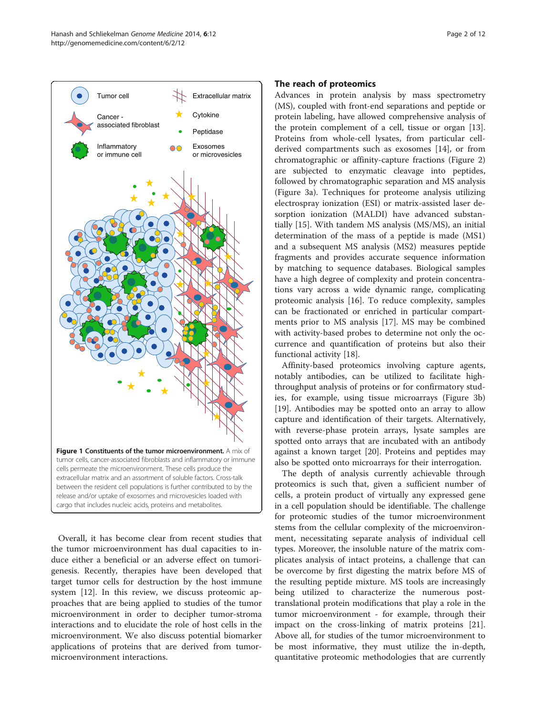<span id="page-1-0"></span>

Overall, it has become clear from recent studies that the tumor microenvironment has dual capacities to induce either a beneficial or an adverse effect on tumorigenesis. Recently, therapies have been developed that target tumor cells for destruction by the host immune system [[12](#page-9-0)]. In this review, we discuss proteomic approaches that are being applied to studies of the tumor microenvironment in order to decipher tumor-stroma interactions and to elucidate the role of host cells in the microenvironment. We also discuss potential biomarker applications of proteins that are derived from tumormicroenvironment interactions.

#### The reach of proteomics

Advances in protein analysis by mass spectrometry (MS), coupled with front-end separations and peptide or protein labeling, have allowed comprehensive analysis of the protein complement of a cell, tissue or organ [\[13](#page-9-0)]. Proteins from whole-cell lysates, from particular cellderived compartments such as exosomes [[14\]](#page-9-0), or from chromatographic or affinity-capture fractions (Figure [2](#page-2-0)) are subjected to enzymatic cleavage into peptides, followed by chromatographic separation and MS analysis (Figure [3](#page-3-0)a). Techniques for proteome analysis utilizing electrospray ionization (ESI) or matrix-assisted laser desorption ionization (MALDI) have advanced substantially [[15\]](#page-9-0). With tandem MS analysis (MS/MS), an initial determination of the mass of a peptide is made (MS1) and a subsequent MS analysis (MS2) measures peptide fragments and provides accurate sequence information by matching to sequence databases. Biological samples have a high degree of complexity and protein concentrations vary across a wide dynamic range, complicating proteomic analysis [\[16\]](#page-9-0). To reduce complexity, samples can be fractionated or enriched in particular compartments prior to MS analysis [[17](#page-9-0)]. MS may be combined with activity-based probes to determine not only the occurrence and quantification of proteins but also their functional activity [\[18\]](#page-9-0).

Affinity-based proteomics involving capture agents, notably antibodies, can be utilized to facilitate highthroughput analysis of proteins or for confirmatory studies, for example, using tissue microarrays (Figure [3](#page-3-0)b) [[19\]](#page-9-0). Antibodies may be spotted onto an array to allow capture and identification of their targets. Alternatively, with reverse-phase protein arrays, lysate samples are spotted onto arrays that are incubated with an antibody against a known target [[20\]](#page-9-0). Proteins and peptides may also be spotted onto microarrays for their interrogation.

The depth of analysis currently achievable through proteomics is such that, given a sufficient number of cells, a protein product of virtually any expressed gene in a cell population should be identifiable. The challenge for proteomic studies of the tumor microenvironment stems from the cellular complexity of the microenvironment, necessitating separate analysis of individual cell types. Moreover, the insoluble nature of the matrix complicates analysis of intact proteins, a challenge that can be overcome by first digesting the matrix before MS of the resulting peptide mixture. MS tools are increasingly being utilized to characterize the numerous posttranslational protein modifications that play a role in the tumor microenvironment - for example, through their impact on the cross-linking of matrix proteins [\[21](#page-9-0)]. Above all, for studies of the tumor microenvironment to be most informative, they must utilize the in-depth, quantitative proteomic methodologies that are currently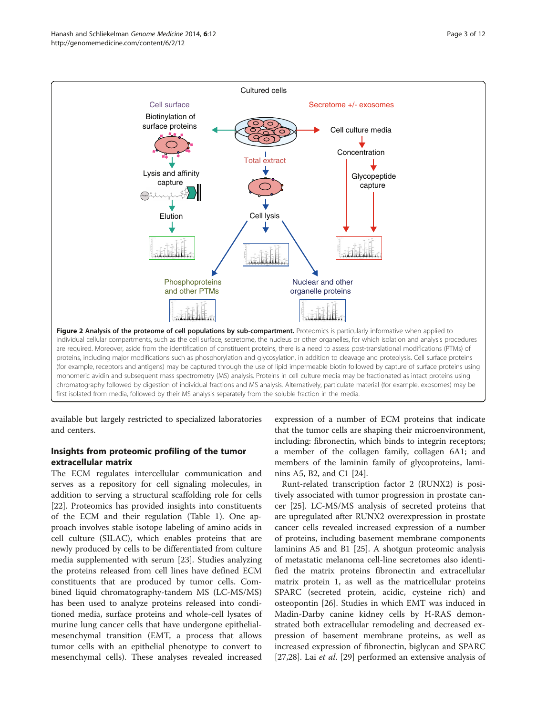<span id="page-2-0"></span>

available but largely restricted to specialized laboratories and centers.

## Insights from proteomic profiling of the tumor extracellular matrix

The ECM regulates intercellular communication and serves as a repository for cell signaling molecules, in addition to serving a structural scaffolding role for cells [[22\]](#page-9-0). Proteomics has provided insights into constituents of the ECM and their regulation (Table [1](#page-4-0)). One approach involves stable isotope labeling of amino acids in cell culture (SILAC), which enables proteins that are newly produced by cells to be differentiated from culture media supplemented with serum [\[23](#page-9-0)]. Studies analyzing the proteins released from cell lines have defined ECM constituents that are produced by tumor cells. Combined liquid chromatography-tandem MS (LC-MS/MS) has been used to analyze proteins released into conditioned media, surface proteins and whole-cell lysates of murine lung cancer cells that have undergone epithelialmesenchymal transition (EMT, a process that allows tumor cells with an epithelial phenotype to convert to mesenchymal cells). These analyses revealed increased

expression of a number of ECM proteins that indicate that the tumor cells are shaping their microenvironment, including: fibronectin, which binds to integrin receptors; a member of the collagen family, collagen 6A1; and members of the laminin family of glycoproteins, laminins A5, B2, and C1 [\[24](#page-9-0)].

Runt-related transcription factor 2 (RUNX2) is positively associated with tumor progression in prostate cancer [\[25\]](#page-9-0). LC-MS/MS analysis of secreted proteins that are upregulated after RUNX2 overexpression in prostate cancer cells revealed increased expression of a number of proteins, including basement membrane components laminins A5 and B1 [\[25](#page-9-0)]. A shotgun proteomic analysis of metastatic melanoma cell-line secretomes also identified the matrix proteins fibronectin and extracellular matrix protein 1, as well as the matricellular proteins SPARC (secreted protein, acidic, cysteine rich) and osteopontin [[26\]](#page-9-0). Studies in which EMT was induced in Madin-Darby canine kidney cells by H-RAS demonstrated both extracellular remodeling and decreased expression of basement membrane proteins, as well as increased expression of fibronectin, biglycan and SPARC [[27,28\]](#page-9-0). Lai et al. [[29\]](#page-9-0) performed an extensive analysis of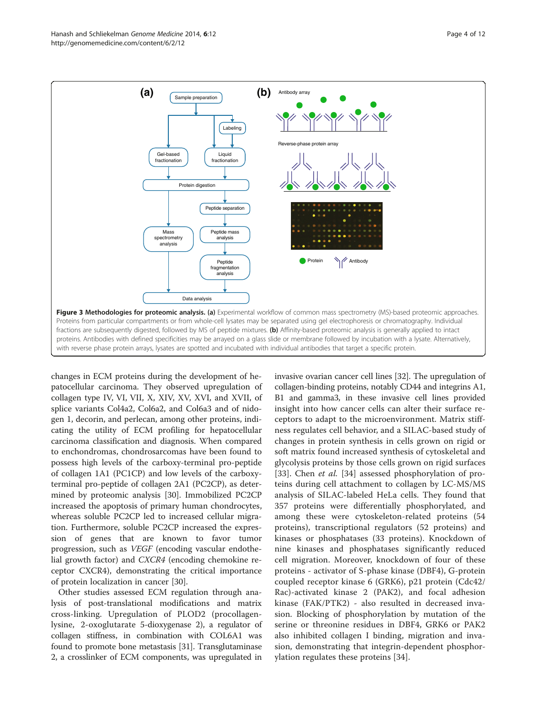<span id="page-3-0"></span>

changes in ECM proteins during the development of hepatocellular carcinoma. They observed upregulation of collagen type IV, VI, VII, X, XIV, XV, XVI, and XVII, of splice variants Col4a2, Col6a2, and Col6a3 and of nidogen 1, decorin, and perlecan, among other proteins, indicating the utility of ECM profiling for hepatocellular carcinoma classification and diagnosis. When compared to enchondromas, chondrosarcomas have been found to possess high levels of the carboxy-terminal pro-peptide of collagen 1A1 (PC1CP) and low levels of the carboxyterminal pro-peptide of collagen 2A1 (PC2CP), as determined by proteomic analysis [[30\]](#page-9-0). Immobilized PC2CP increased the apoptosis of primary human chondrocytes, whereas soluble PC2CP led to increased cellular migration. Furthermore, soluble PC2CP increased the expression of genes that are known to favor tumor progression, such as VEGF (encoding vascular endothelial growth factor) and CXCR4 (encoding chemokine receptor CXCR4), demonstrating the critical importance of protein localization in cancer [\[30](#page-9-0)].

Other studies assessed ECM regulation through analysis of post-translational modifications and matrix cross-linking. Upregulation of PLOD2 (procollagenlysine, 2-oxoglutarate 5-dioxygenase 2), a regulator of collagen stiffness, in combination with COL6A1 was found to promote bone metastasis [\[31\]](#page-9-0). Transglutaminase 2, a crosslinker of ECM components, was upregulated in

invasive ovarian cancer cell lines [[32](#page-9-0)]. The upregulation of collagen-binding proteins, notably CD44 and integrins A1, B1 and gamma3, in these invasive cell lines provided insight into how cancer cells can alter their surface receptors to adapt to the microenvironment. Matrix stiffness regulates cell behavior, and a SILAC-based study of changes in protein synthesis in cells grown on rigid or soft matrix found increased synthesis of cytoskeletal and glycolysis proteins by those cells grown on rigid surfaces [[33\]](#page-9-0). Chen et al. [[34](#page-9-0)] assessed phosphorylation of proteins during cell attachment to collagen by LC-MS/MS analysis of SILAC-labeled HeLa cells. They found that 357 proteins were differentially phosphorylated, and among these were cytoskeleton-related proteins (54 proteins), transcriptional regulators (52 proteins) and kinases or phosphatases (33 proteins). Knockdown of nine kinases and phosphatases significantly reduced cell migration. Moreover, knockdown of four of these proteins - activator of S-phase kinase (DBF4), G-protein coupled receptor kinase 6 (GRK6), p21 protein (Cdc42/ Rac)-activated kinase 2 (PAK2), and focal adhesion kinase (FAK/PTK2) - also resulted in decreased invasion. Blocking of phosphorylation by mutation of the serine or threonine residues in DBF4, GRK6 or PAK2 also inhibited collagen I binding, migration and invasion, demonstrating that integrin-dependent phosphorylation regulates these proteins [[34\]](#page-9-0).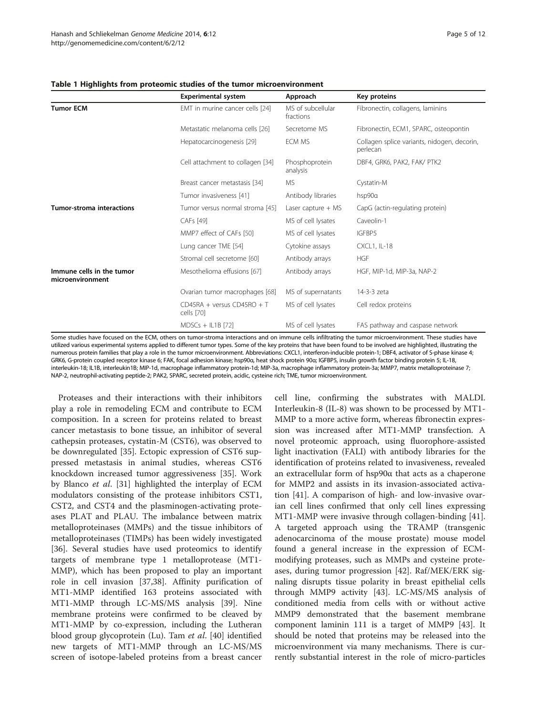|                                               | <b>Experimental system</b>                 | Approach                       | Key proteins                                            |
|-----------------------------------------------|--------------------------------------------|--------------------------------|---------------------------------------------------------|
| <b>Tumor ECM</b>                              | EMT in murine cancer cells [24]            | MS of subcellular<br>fractions | Fibronectin, collagens, laminins                        |
|                                               | Metastatic melanoma cells [26]             | Secretome MS                   | Fibronectin, ECM1, SPARC, osteopontin                   |
|                                               | Hepatocarcinogenesis [29]                  | <b>ECM MS</b>                  | Collagen splice variants, nidogen, decorin,<br>perlecan |
|                                               | Cell attachment to collagen [34]           | Phosphoprotein<br>analysis     | DBF4, GRK6, PAK2, FAK/ PTK2                             |
|                                               | Breast cancer metastasis [34]              | <b>MS</b>                      | Cystatin-M                                              |
|                                               | Tumor invasiveness [41]                    | Antibody libraries             | hsp90a                                                  |
| <b>Tumor-stroma interactions</b>              | Tumor versus normal stroma [45]            | Laser capture $+$ MS           | CapG (actin-regulating protein)                         |
|                                               | CAF <sub>s</sub> [49]                      | MS of cell lysates             | Caveolin-1                                              |
|                                               | MMP7 effect of CAFs [50]                   | MS of cell lysates             | IGFBP5                                                  |
|                                               | Lung cancer TME [54]                       | Cytokine assays                | CXCL1, IL-18                                            |
|                                               | Stromal cell secretome [60]                | Antibody arrays                | <b>HGF</b>                                              |
| Immune cells in the tumor<br>microenvironment | Mesothelioma effusions [67]                | Antibody arrays                | HGF, MIP-1d, MIP-3a, NAP-2                              |
|                                               | Ovarian tumor macrophages [68]             | MS of supernatants             | 14-3-3 zeta                                             |
|                                               | $CD45RA + versus CD45RO + T$<br>cells [70] | MS of cell lysates             | Cell redox proteins                                     |
|                                               | $MDSCs + IL1B [72]$                        | MS of cell lysates             | FAS pathway and caspase network                         |

<span id="page-4-0"></span>Table 1 Highlights from proteomic studies of the tumor microenvironment

Some studies have focused on the ECM, others on tumor-stroma interactions and on immune cells infiltrating the tumor microenvironment. These studies have utilized various experimental systems applied to different tumor types. Some of the key proteins that have been found to be involved are highlighted, illustrating the numerous protein families that play a role in the tumor microenvironment. Abbreviations: CXCL1, interferon-inducible protein-1; DBF4, activator of S-phase kinase 4; GRK6, G-protein coupled receptor kinase 6; FAK, focal adhesion kinase; hsp90α, heat shock protein 90α; IGFBP5, insulin growth factor binding protein 5; IL-18, interleukin-18; IL1B, interleukin1B; MIP-1d, macrophage inflammatory protein-1d; MIP-3a, macrophage inflammatory protein-3a; MMP7, matrix metalloproteinase 7; NAP-2, neutrophil-activating peptide-2; PAK2, SPARC, secreted protein, acidic, cysteine rich; TME, tumor microenvironment.

Proteases and their interactions with their inhibitors play a role in remodeling ECM and contribute to ECM composition. In a screen for proteins related to breast cancer metastasis to bone tissue, an inhibitor of several cathepsin proteases, cystatin-M (CST6), was observed to be downregulated [\[35](#page-9-0)]. Ectopic expression of CST6 suppressed metastasis in animal studies, whereas CST6 knockdown increased tumor aggressiveness [\[35](#page-9-0)]. Work by Blanco et al. [\[31\]](#page-9-0) highlighted the interplay of ECM modulators consisting of the protease inhibitors CST1, CST2, and CST4 and the plasminogen-activating proteases PLAT and PLAU. The imbalance between matrix metalloproteinases (MMPs) and the tissue inhibitors of metalloproteinases (TIMPs) has been widely investigated [[36\]](#page-9-0). Several studies have used proteomics to identify targets of membrane type 1 metalloprotease (MT1- MMP), which has been proposed to play an important role in cell invasion [[37,38](#page-9-0)]. Affinity purification of MT1-MMP identified 163 proteins associated with MT1-MMP through LC-MS/MS analysis [\[39](#page-9-0)]. Nine membrane proteins were confirmed to be cleaved by MT1-MMP by co-expression, including the Lutheran blood group glycoprotein (Lu). Tam et al. [[40\]](#page-9-0) identified new targets of MT1-MMP through an LC-MS/MS screen of isotope-labeled proteins from a breast cancer cell line, confirming the substrates with MALDI. Interleukin-8 (IL-8) was shown to be processed by MT1- MMP to a more active form, whereas fibronectin expression was increased after MT1-MMP transfection. A novel proteomic approach, using fluorophore-assisted light inactivation (FALI) with antibody libraries for the identification of proteins related to invasiveness, revealed an extracellular form of hsp90α that acts as a chaperone for MMP2 and assists in its invasion-associated activation [[41\]](#page-9-0). A comparison of high- and low-invasive ovarian cell lines confirmed that only cell lines expressing MT1-MMP were invasive through collagen-binding [\[41](#page-9-0)]. A targeted approach using the TRAMP (transgenic adenocarcinoma of the mouse prostate) mouse model found a general increase in the expression of ECMmodifying proteases, such as MMPs and cysteine proteases, during tumor progression [[42](#page-9-0)]. Raf/MEK/ERK signaling disrupts tissue polarity in breast epithelial cells through MMP9 activity [\[43](#page-9-0)]. LC-MS/MS analysis of conditioned media from cells with or without active MMP9 demonstrated that the basement membrane component laminin 111 is a target of MMP9 [[43\]](#page-9-0). It should be noted that proteins may be released into the microenvironment via many mechanisms. There is currently substantial interest in the role of micro-particles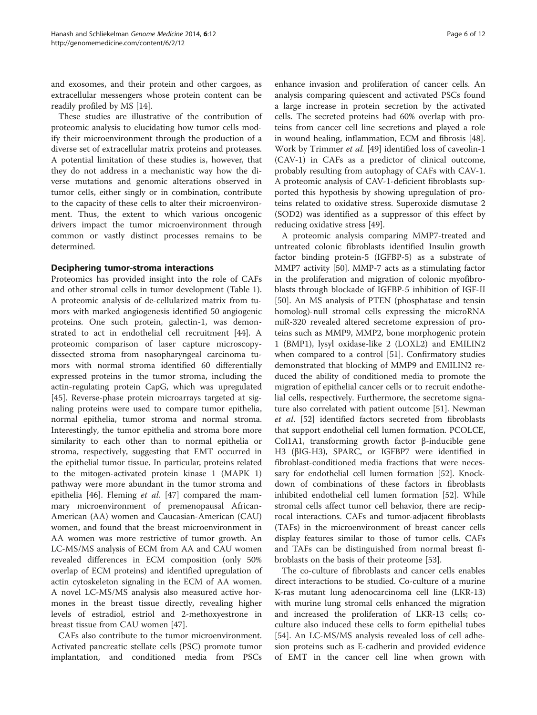and exosomes, and their protein and other cargoes, as extracellular messengers whose protein content can be readily profiled by MS [\[14\]](#page-9-0).

These studies are illustrative of the contribution of proteomic analysis to elucidating how tumor cells modify their microenvironment through the production of a diverse set of extracellular matrix proteins and proteases. A potential limitation of these studies is, however, that they do not address in a mechanistic way how the diverse mutations and genomic alterations observed in tumor cells, either singly or in combination, contribute to the capacity of these cells to alter their microenvironment. Thus, the extent to which various oncogenic drivers impact the tumor microenvironment through common or vastly distinct processes remains to be determined.

#### Deciphering tumor-stroma interactions

Proteomics has provided insight into the role of CAFs and other stromal cells in tumor development (Table [1](#page-4-0)). A proteomic analysis of de-cellularized matrix from tumors with marked angiogenesis identified 50 angiogenic proteins. One such protein, galectin-1, was demonstrated to act in endothelial cell recruitment [[44\]](#page-10-0). A proteomic comparison of laser capture microscopydissected stroma from nasopharyngeal carcinoma tumors with normal stroma identified 60 differentially expressed proteins in the tumor stroma, including the actin-regulating protein CapG, which was upregulated [[45\]](#page-10-0). Reverse-phase protein microarrays targeted at signaling proteins were used to compare tumor epithelia, normal epithelia, tumor stroma and normal stroma. Interestingly, the tumor epithelia and stroma bore more similarity to each other than to normal epithelia or stroma, respectively, suggesting that EMT occurred in the epithelial tumor tissue. In particular, proteins related to the mitogen-activated protein kinase 1 (MAPK 1) pathway were more abundant in the tumor stroma and epithelia [[46\]](#page-10-0). Fleming *et al.* [[47\]](#page-10-0) compared the mammary microenvironment of premenopausal African-American (AA) women and Caucasian-American (CAU) women, and found that the breast microenvironment in AA women was more restrictive of tumor growth. An LC-MS/MS analysis of ECM from AA and CAU women revealed differences in ECM composition (only 50% overlap of ECM proteins) and identified upregulation of actin cytoskeleton signaling in the ECM of AA women. A novel LC-MS/MS analysis also measured active hormones in the breast tissue directly, revealing higher levels of estradiol, estriol and 2-methoxyestrone in breast tissue from CAU women [[47\]](#page-10-0).

CAFs also contribute to the tumor microenvironment. Activated pancreatic stellate cells (PSC) promote tumor implantation, and conditioned media from PSCs

enhance invasion and proliferation of cancer cells. An analysis comparing quiescent and activated PSCs found a large increase in protein secretion by the activated cells. The secreted proteins had 60% overlap with proteins from cancer cell line secretions and played a role in wound healing, inflammation, ECM and fibrosis [\[48](#page-10-0)]. Work by Trimmer et al. [[49](#page-10-0)] identified loss of caveolin-1 (CAV-1) in CAFs as a predictor of clinical outcome, probably resulting from autophagy of CAFs with CAV-1. A proteomic analysis of CAV-1-deficient fibroblasts supported this hypothesis by showing upregulation of proteins related to oxidative stress. Superoxide dismutase 2 (SOD2) was identified as a suppressor of this effect by reducing oxidative stress [[49\]](#page-10-0).

A proteomic analysis comparing MMP7-treated and untreated colonic fibroblasts identified Insulin growth factor binding protein-5 (IGFBP-5) as a substrate of MMP7 activity [[50](#page-10-0)]. MMP-7 acts as a stimulating factor in the proliferation and migration of colonic myofibroblasts through blockade of IGFBP-5 inhibition of IGF-II [[50\]](#page-10-0). An MS analysis of PTEN (phosphatase and tensin homolog)-null stromal cells expressing the microRNA miR-320 revealed altered secretome expression of proteins such as MMP9, MMP2, bone morphogenic protein 1 (BMP1), lysyl oxidase-like 2 (LOXL2) and EMILIN2 when compared to a control [\[51\]](#page-10-0). Confirmatory studies demonstrated that blocking of MMP9 and EMILIN2 reduced the ability of conditioned media to promote the migration of epithelial cancer cells or to recruit endothelial cells, respectively. Furthermore, the secretome signature also correlated with patient outcome [\[51](#page-10-0)]. Newman et al. [\[52](#page-10-0)] identified factors secreted from fibroblasts that support endothelial cell lumen formation. PCOLCE, Col1A1, transforming growth factor β-inducible gene H3 (βIG-H3), SPARC, or IGFBP7 were identified in fibroblast-conditioned media fractions that were necessary for endothelial cell lumen formation [\[52\]](#page-10-0). Knockdown of combinations of these factors in fibroblasts inhibited endothelial cell lumen formation [[52\]](#page-10-0). While stromal cells affect tumor cell behavior, there are reciprocal interactions. CAFs and tumor-adjacent fibroblasts (TAFs) in the microenvironment of breast cancer cells display features similar to those of tumor cells. CAFs and TAFs can be distinguished from normal breast fibroblasts on the basis of their proteome [[53\]](#page-10-0).

The co-culture of fibroblasts and cancer cells enables direct interactions to be studied. Co-culture of a murine K-ras mutant lung adenocarcinoma cell line (LKR-13) with murine lung stromal cells enhanced the migration and increased the proliferation of LKR-13 cells; coculture also induced these cells to form epithelial tubes [[54\]](#page-10-0). An LC-MS/MS analysis revealed loss of cell adhesion proteins such as E-cadherin and provided evidence of EMT in the cancer cell line when grown with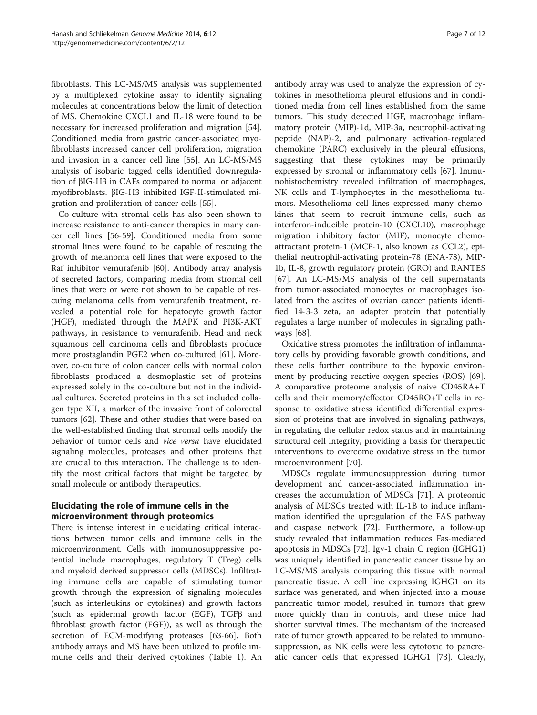fibroblasts. This LC-MS/MS analysis was supplemented by a multiplexed cytokine assay to identify signaling molecules at concentrations below the limit of detection of MS. Chemokine CXCL1 and IL-18 were found to be necessary for increased proliferation and migration [\[54](#page-10-0)]. Conditioned media from gastric cancer-associated myofibroblasts increased cancer cell proliferation, migration and invasion in a cancer cell line [[55\]](#page-10-0). An LC-MS/MS analysis of isobaric tagged cells identified downregulation of βIG-H3 in CAFs compared to normal or adjacent myofibroblasts. βIG-H3 inhibited IGF-II-stimulated migration and proliferation of cancer cells [[55](#page-10-0)].

Co-culture with stromal cells has also been shown to increase resistance to anti-cancer therapies in many cancer cell lines [\[56-59](#page-10-0)]. Conditioned media from some stromal lines were found to be capable of rescuing the growth of melanoma cell lines that were exposed to the Raf inhibitor vemurafenib [[60\]](#page-10-0). Antibody array analysis of secreted factors, comparing media from stromal cell lines that were or were not shown to be capable of rescuing melanoma cells from vemurafenib treatment, revealed a potential role for hepatocyte growth factor (HGF), mediated through the MAPK and PI3K-AKT pathways, in resistance to vemurafenib. Head and neck squamous cell carcinoma cells and fibroblasts produce more prostaglandin PGE2 when co-cultured [\[61\]](#page-10-0). Moreover, co-culture of colon cancer cells with normal colon fibroblasts produced a desmoplastic set of proteins expressed solely in the co-culture but not in the individual cultures. Secreted proteins in this set included collagen type XII, a marker of the invasive front of colorectal tumors [\[62](#page-10-0)]. These and other studies that were based on the well-established finding that stromal cells modify the behavior of tumor cells and vice versa have elucidated signaling molecules, proteases and other proteins that are crucial to this interaction. The challenge is to identify the most critical factors that might be targeted by small molecule or antibody therapeutics.

## Elucidating the role of immune cells in the microenvironment through proteomics

There is intense interest in elucidating critical interactions between tumor cells and immune cells in the microenvironment. Cells with immunosuppressive potential include macrophages, regulatory T (Treg) cells and myeloid derived suppressor cells (MDSCs). Infiltrating immune cells are capable of stimulating tumor growth through the expression of signaling molecules (such as interleukins or cytokines) and growth factors (such as epidermal growth factor (EGF), TGFβ and fibroblast growth factor (FGF)), as well as through the secretion of ECM-modifying proteases [[63-66](#page-10-0)]. Both antibody arrays and MS have been utilized to profile immune cells and their derived cytokines (Table [1\)](#page-4-0). An

antibody array was used to analyze the expression of cytokines in mesothelioma pleural effusions and in conditioned media from cell lines established from the same tumors. This study detected HGF, macrophage inflammatory protein (MIP)-1d, MIP-3a, neutrophil-activating peptide (NAP)-2, and pulmonary activation-regulated chemokine (PARC) exclusively in the pleural effusions, suggesting that these cytokines may be primarily expressed by stromal or inflammatory cells [\[67](#page-10-0)]. Immunohistochemistry revealed infiltration of macrophages, NK cells and T-lymphocytes in the mesothelioma tumors. Mesothelioma cell lines expressed many chemokines that seem to recruit immune cells, such as interferon-inducible protein-10 (CXCL10), macrophage migration inhibitory factor (MIF), monocyte chemoattractant protein-1 (MCP-1, also known as CCL2), epithelial neutrophil-activating protein-78 (ENA-78), MIP-1b, IL-8, growth regulatory protein (GRO) and RANTES [[67\]](#page-10-0). An LC-MS/MS analysis of the cell supernatants from tumor-associated monocytes or macrophages isolated from the ascites of ovarian cancer patients identified 14-3-3 zeta, an adapter protein that potentially regulates a large number of molecules in signaling pathways [\[68](#page-10-0)].

Oxidative stress promotes the infiltration of inflammatory cells by providing favorable growth conditions, and these cells further contribute to the hypoxic environment by producing reactive oxygen species (ROS) [\[69](#page-10-0)]. A comparative proteome analysis of naive CD45RA+T cells and their memory/effector CD45RO+T cells in response to oxidative stress identified differential expression of proteins that are involved in signaling pathways, in regulating the cellular redox status and in maintaining structural cell integrity, providing a basis for therapeutic interventions to overcome oxidative stress in the tumor microenvironment [\[70\]](#page-10-0).

MDSCs regulate immunosuppression during tumor development and cancer-associated inflammation increases the accumulation of MDSCs [\[71\]](#page-10-0). A proteomic analysis of MDSCs treated with IL-1B to induce inflammation identified the upregulation of the FAS pathway and caspase network [\[72](#page-10-0)]. Furthermore, a follow-up study revealed that inflammation reduces Fas-mediated apoptosis in MDSCs [\[72](#page-10-0)]. Igγ-1 chain C region (IGHG1) was uniquely identified in pancreatic cancer tissue by an LC-MS/MS analysis comparing this tissue with normal pancreatic tissue. A cell line expressing IGHG1 on its surface was generated, and when injected into a mouse pancreatic tumor model, resulted in tumors that grew more quickly than in controls, and these mice had shorter survival times. The mechanism of the increased rate of tumor growth appeared to be related to immunosuppression, as NK cells were less cytotoxic to pancreatic cancer cells that expressed IGHG1 [[73\]](#page-10-0). Clearly,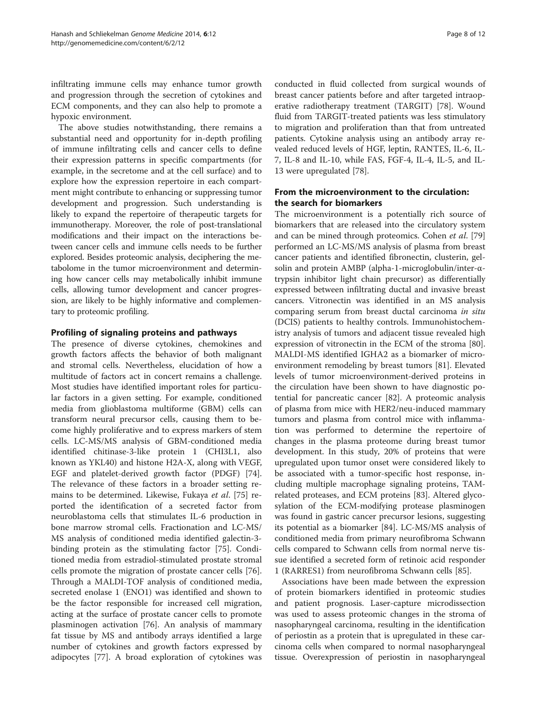infiltrating immune cells may enhance tumor growth and progression through the secretion of cytokines and ECM components, and they can also help to promote a hypoxic environment.

The above studies notwithstanding, there remains a substantial need and opportunity for in-depth profiling of immune infiltrating cells and cancer cells to define their expression patterns in specific compartments (for example, in the secretome and at the cell surface) and to explore how the expression repertoire in each compartment might contribute to enhancing or suppressing tumor development and progression. Such understanding is likely to expand the repertoire of therapeutic targets for immunotherapy. Moreover, the role of post-translational modifications and their impact on the interactions between cancer cells and immune cells needs to be further explored. Besides proteomic analysis, deciphering the metabolome in the tumor microenvironment and determining how cancer cells may metabolically inhibit immune cells, allowing tumor development and cancer progression, are likely to be highly informative and complementary to proteomic profiling.

## Profiling of signaling proteins and pathways

The presence of diverse cytokines, chemokines and growth factors affects the behavior of both malignant and stromal cells. Nevertheless, elucidation of how a multitude of factors act in concert remains a challenge. Most studies have identified important roles for particular factors in a given setting. For example, conditioned media from glioblastoma multiforme (GBM) cells can transform neural precursor cells, causing them to become highly proliferative and to express markers of stem cells. LC-MS/MS analysis of GBM-conditioned media identified chitinase-3-like protein 1 (CHI3L1, also known as YKL40) and histone H2A-X, along with VEGF, EGF and platelet-derived growth factor (PDGF) [\[74](#page-10-0)]. The relevance of these factors in a broader setting re-mains to be determined. Likewise, Fukaya et al. [\[75](#page-10-0)] reported the identification of a secreted factor from neuroblastoma cells that stimulates IL-6 production in bone marrow stromal cells. Fractionation and LC-MS/ MS analysis of conditioned media identified galectin-3 binding protein as the stimulating factor [[75\]](#page-10-0). Conditioned media from estradiol-stimulated prostate stromal cells promote the migration of prostate cancer cells [\[76](#page-10-0)]. Through a MALDI-TOF analysis of conditioned media, secreted enolase 1 (ENO1) was identified and shown to be the factor responsible for increased cell migration, acting at the surface of prostate cancer cells to promote plasminogen activation [[76](#page-10-0)]. An analysis of mammary fat tissue by MS and antibody arrays identified a large number of cytokines and growth factors expressed by adipocytes [\[77](#page-10-0)]. A broad exploration of cytokines was

conducted in fluid collected from surgical wounds of breast cancer patients before and after targeted intraoperative radiotherapy treatment (TARGIT) [[78\]](#page-10-0). Wound fluid from TARGIT-treated patients was less stimulatory to migration and proliferation than that from untreated patients. Cytokine analysis using an antibody array revealed reduced levels of HGF, leptin, RANTES, IL-6, IL-7, IL-8 and IL-10, while FAS, FGF-4, IL-4, IL-5, and IL-13 were upregulated [\[78](#page-10-0)].

## From the microenvironment to the circulation: the search for biomarkers

The microenvironment is a potentially rich source of biomarkers that are released into the circulatory system and can be mined through proteomics. Cohen et al. [[79](#page-10-0)] performed an LC-MS/MS analysis of plasma from breast cancer patients and identified fibronectin, clusterin, gelsolin and protein AMBP (alpha-1-microglobulin/inter-αtrypsin inhibitor light chain precursor) as differentially expressed between infiltrating ductal and invasive breast cancers. Vitronectin was identified in an MS analysis comparing serum from breast ductal carcinoma in situ (DCIS) patients to healthy controls. Immunohistochemistry analysis of tumors and adjacent tissue revealed high expression of vitronectin in the ECM of the stroma [\[80](#page-10-0)]. MALDI-MS identified IGHA2 as a biomarker of microenvironment remodeling by breast tumors [[81\]](#page-11-0). Elevated levels of tumor microenvironment-derived proteins in the circulation have been shown to have diagnostic potential for pancreatic cancer [[82\]](#page-11-0). A proteomic analysis of plasma from mice with HER2/neu-induced mammary tumors and plasma from control mice with inflammation was performed to determine the repertoire of changes in the plasma proteome during breast tumor development. In this study, 20% of proteins that were upregulated upon tumor onset were considered likely to be associated with a tumor-specific host response, including multiple macrophage signaling proteins, TAMrelated proteases, and ECM proteins [[83\]](#page-11-0). Altered glycosylation of the ECM-modifying protease plasminogen was found in gastric cancer precursor lesions, suggesting its potential as a biomarker [[84\]](#page-11-0). LC-MS/MS analysis of conditioned media from primary neurofibroma Schwann cells compared to Schwann cells from normal nerve tissue identified a secreted form of retinoic acid responder 1 (RARRES1) from neurofibroma Schwann cells [[85\]](#page-11-0).

Associations have been made between the expression of protein biomarkers identified in proteomic studies and patient prognosis. Laser-capture microdissection was used to assess proteomic changes in the stroma of nasopharyngeal carcinoma, resulting in the identification of periostin as a protein that is upregulated in these carcinoma cells when compared to normal nasopharyngeal tissue. Overexpression of periostin in nasopharyngeal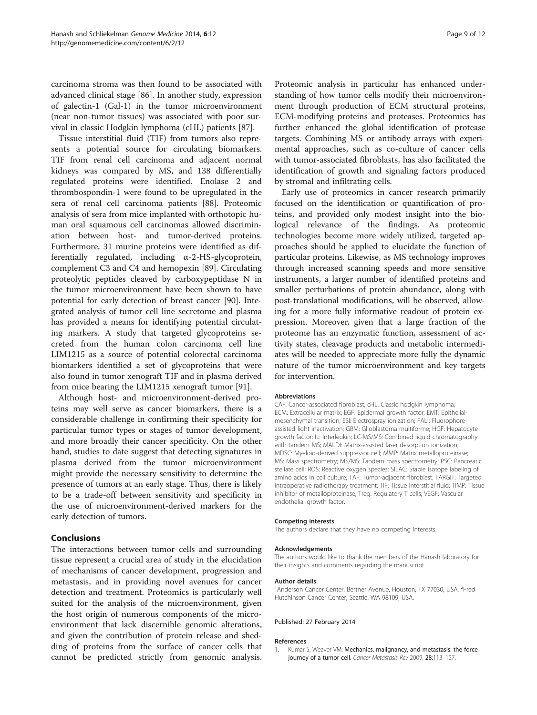<span id="page-8-0"></span>carcinoma stroma was then found to be associated with advanced clinical stage [\[86\]](#page-11-0). In another study, expression of galectin-1 (Gal-1) in the tumor microenvironment (near non-tumor tissues) was associated with poor survival in classic Hodgkin lymphoma (cHL) patients [[87\]](#page-11-0).

Tissue interstitial fluid (TIF) from tumors also represents a potential source for circulating biomarkers. TIF from renal cell carcinoma and adjacent normal kidneys was compared by MS, and 138 differentially regulated proteins were identified. Enolase 2 and thrombospondin-1 were found to be upregulated in the sera of renal cell carcinoma patients [[88](#page-11-0)]. Proteomic analysis of sera from mice implanted with orthotopic human oral squamous cell carcinomas allowed discrimination between host- and tumor-derived proteins. Furthermore, 31 murine proteins were identified as differentially regulated, including α-2-HS-glycoprotein, complement C3 and C4 and hemopexin [\[89\]](#page-11-0). Circulating proteolytic peptides cleaved by carboxypeptidase N in the tumor microenvironment have been shown to have potential for early detection of breast cancer [[90\]](#page-11-0). Integrated analysis of tumor cell line secretome and plasma has provided a means for identifying potential circulating markers. A study that targeted glycoproteins secreted from the human colon carcinoma cell line LIM1215 as a source of potential colorectal carcinoma biomarkers identified a set of glycoproteins that were also found in tumor xenograft TIF and in plasma derived from mice bearing the LIM1215 xenograft tumor [[91](#page-11-0)].

Although host- and microenvironment-derived proteins may well serve as cancer biomarkers, there is a considerable challenge in confirming their specificity for particular tumor types or stages of tumor development, and more broadly their cancer specificity. On the other hand, studies to date suggest that detecting signatures in plasma derived from the tumor microenvironment might provide the necessary sensitivity to determine the presence of tumors at an early stage. Thus, there is likely to be a trade-off between sensitivity and specificity in the use of microenvironment-derived markers for the early detection of tumors.

### Conclusions

The interactions between tumor cells and surrounding tissue represent a crucial area of study in the elucidation of mechanisms of cancer development, progression and metastasis, and in providing novel avenues for cancer detection and treatment. Proteomics is particularly well suited for the analysis of the microenvironment, given the host origin of numerous components of the microenvironment that lack discernible genomic alterations, and given the contribution of protein release and shedding of proteins from the surface of cancer cells that cannot be predicted strictly from genomic analysis.

Proteomic analysis in particular has enhanced understanding of how tumor cells modify their microenvironment through production of ECM structural proteins, ECM-modifying proteins and proteases. Proteomics has further enhanced the global identification of protease targets. Combining MS or antibody arrays with experimental approaches, such as co-culture of cancer cells with tumor-associated fibroblasts, has also facilitated the identification of growth and signaling factors produced by stromal and infiltrating cells.

Early use of proteomics in cancer research primarily focused on the identification or quantification of proteins, and provided only modest insight into the biological relevance of the findings. As proteomic technologies become more widely utilized, targeted approaches should be applied to elucidate the function of particular proteins. Likewise, as MS technology improves through increased scanning speeds and more sensitive instruments, a larger number of identified proteins and smaller perturbations of protein abundance, along with post-translational modifications, will be observed, allowing for a more fully informative readout of protein expression. Moreover, given that a large fraction of the proteome has an enzymatic function, assessment of activity states, cleavage products and metabolic intermediates will be needed to appreciate more fully the dynamic nature of the tumor microenvironment and key targets for intervention.

#### Abbreviations

CAF: Cancer-associated fibroblast; cHL: Classic hodgkin lymphoma; ECM: Extracellular matrix; EGF: Epidermal growth factor; EMT: Epithelialmesenchymal transition; ESI: Electrospray ionization; FALI: Fluorophoreassisted light inactivation; GBM: Glioblastoma multiforme; HGF: Hepatocyte growth factor; IL: Interleukin; LC-MS/MS: Combined liquid chromatography with tandem MS; MALDI: Matrix-assisted laser desorption ionization; MDSC: Myeloid-derived suppressor cell; MMP: Matrix metalloproteinase; MS: Mass spectrometry; MS/MS: Tandem mass spectrometry; PSC: Pancreatic stellate cell; ROS: Reactive oxygen species; SILAC: Stable isotope labeling of amino acids in cell culture; TAF: Tumor-adjacent fibroblast; TARGIT: Targeted intraoperative radiotherapy treatment; TIF: Tissue interstitial fluid; TIMP: Tissue inhibitor of metalloproteinase; Treg: Regulatory T cells; VEGF: Vascular endothelial growth factor.

#### Competing interests

The authors declare that they have no competing interests.

#### Acknowledgements

The authors would like to thank the members of the Hanash laboratory for their insights and comments regarding the manuscript.

#### Author details

<sup>1</sup> Anderson Cancer Center, Bertner Avenue, Houston, TX 77030, USA. <sup>2</sup>Fred Hutchinson Cancer Center, Seattle, WA 98109, USA.

#### Published: 27 February 2014

#### References

1. Kumar S, Weaver VM: Mechanics, malignancy, and metastasis: the force journey of a tumor cell. Cancer Metastasis Rev 2009, 28:113–127.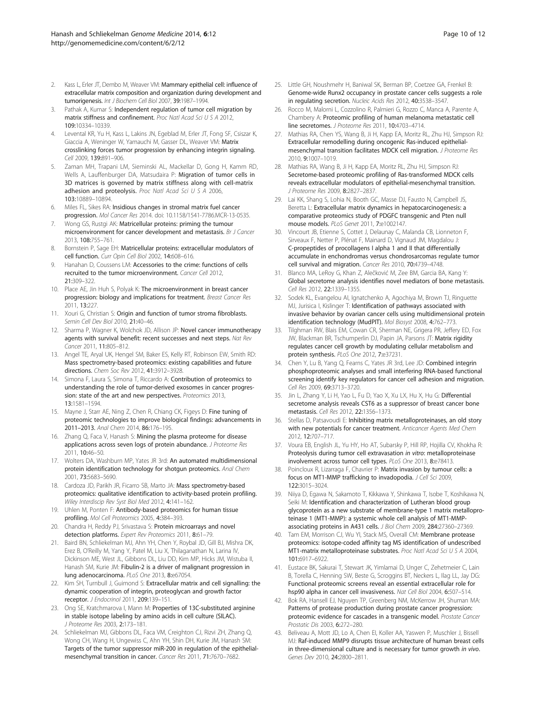- <span id="page-9-0"></span>2. Kass L, Erler JT, Dembo M, Weaver VM: Mammary epithelial cell: influence of extracellular matrix composition and organization during development and tumorigenesis. Int J Biochem Cell Biol 2007, 39:1987–1994.
- Pathak A, Kumar S: Independent regulation of tumor cell migration by matrix stiffness and confinement. Proc Natl Acad Sci U S A 2012, 109:10334–10339.
- 4. Levental KR, Yu H, Kass L, Lakins JN, Egeblad M, Erler JT, Fong SF, Csiszar K, Giaccia A, Weninger W, Yamauchi M, Gasser DL, Weaver VM: Matrix crosslinking forces tumor progression by enhancing integrin signaling. Cell 2009, 139:891–906.
- 5. Zaman MH, Trapani LM, Sieminski AL, Mackellar D, Gong H, Kamm RD, Wells A, Lauffenburger DA, Matsudaira P: Migration of tumor cells in 3D matrices is governed by matrix stiffness along with cell-matrix adhesion and proteolysis. Proc Natl Acad Sci U S A 2006, 103:10889–10894.
- Miles FL, Sikes RA: Insidious changes in stromal matrix fuel cancer progression. Mol Cancer Res 2014. doi: 10.1158/1541-7786.MCR-13-0535.
- 7. Wong GS, Rustgi AK: Matricellular proteins: priming the tumour microenvironment for cancer development and metastasis. Br J Cancer 2013, 108:755–761.
- 8. Bornstein P, Sage EH: Matricellular proteins: extracellular modulators of cell function. Curr Opin Cell Biol 2002, 14:608–616.
- Hanahan D, Coussens LM: Accessories to the crime: functions of cells recruited to the tumor microenvironment. Cancer Cell 2012, 21:309–322.
- 10. Place AE, Jin Huh S, Polyak K: The microenvironment in breast cancer progression: biology and implications for treatment. Breast Cancer Res 2011, 13:227.
- 11. Xouri G, Christian S: Origin and function of tumor stroma fibroblasts. Semin Cell Dev Biol 2010, 21:40–46.
- 12. Sharma P, Wagner K, Wolchok JD, Allison JP: Novel cancer immunotherapy agents with survival benefit: recent successes and next steps. Nat Rev Cancer 2011, 11:805–812.
- 13. Angel TE, Aryal UK, Hengel SM, Baker ES, Kelly RT, Robinson EW, Smith RD: Mass spectrometry-based proteomics: existing capabilities and future directions. Chem Soc Rev 2012, 41:3912–3928.
- 14. Simona F, Laura S, Simona T, Riccardo A: Contribution of proteomics to understanding the role of tumor-derived exosomes in cancer progression: state of the art and new perspectives. Proteomics 2013, 13:1581–1594.
- 15. Mayne J, Starr AE, Ning Z, Chen R, Chiang CK, Figeys D: Fine tuning of proteomic technologies to improve biological findings: advancements in 2011–2013. Anal Chem 2014, 86:176–195.
- 16. Zhang Q, Faca V, Hanash S: Mining the plasma proteome for disease applications across seven logs of protein abundance. J Proteome Res 2011, 10:46–50.
- 17. Wolters DA, Washburn MP, Yates JR 3rd: An automated multidimensional protein identification technology for shotgun proteomics. Anal Chem 2001, 73:5683–5690.
- 18. Cardoza JD, Parikh JR, Ficarro SB, Marto JA: Mass spectrometry-based proteomics: qualitative identification to activity-based protein profiling. Wiley Interdiscip Rev Syst Biol Med 2012, 4:141–162.
- 19. Uhlen M, Ponten F: Antibody-based proteomics for human tissue profiling. Mol Cell Proteomics 2005, 4:384–393.
- 20. Chandra H, Reddy PJ, Srivastava S: Protein microarrays and novel detection platforms. Expert Rev Proteomics 2011, 8:61–79.
- 21. Baird BN, Schliekelman MJ, Ahn YH, Chen Y, Roybal JD, Gill BJ, Mishra DK, Erez B, O'Reilly M, Yang Y, Patel M, Liu X, Thilaganathan N, Larina IV, Dickinson ME, West JL, Gibbons DL, Liu DD, Kim MP, Hicks JM, Wistuba II, Hanash SM, Kurie JM: Fibulin-2 is a driver of malignant progression in lung adenocarcinoma. PLoS One 2013, 8:e67054.
- 22. Kim SH, Turnbull J, Guimond S: Extracellular matrix and cell signalling: the dynamic cooperation of integrin, proteoglycan and growth factor receptor. J Endocrinol 2011, 209:139–151.
- 23. Ong SE, Kratchmarova I, Mann M: Properties of 13C-substituted arginine in stable isotope labeling by amino acids in cell culture (SILAC). J Proteome Res 2003, 2:173–181.
- 24. Schliekelman MJ, Gibbons DL, Faca VM, Creighton CJ, Rizvi ZH, Zhang Q, Wong CH, Wang H, Ungewiss C, Ahn YH, Shin DH, Kurie JM, Hanash SM: Targets of the tumor suppressor miR-200 in regulation of the epithelialmesenchymal transition in cancer. Cancer Res 2011, 71:7670–7682.
- 25. Little GH, Noushmehr H, Baniwal SK, Berman BP, Coetzee GA, Frenkel B: Genome-wide Runx2 occupancy in prostate cancer cells suggests a role in regulating secretion. Nucleic Acids Res 2012, 40:3538-3547
- 26. Rocco M, Malorni L, Cozzolino R, Palmieri G, Rozzo C, Manca A, Parente A, Chambery A: Proteomic profiling of human melanoma metastatic cell line secretomes. J Proteome Res 2011, 10:4703–4714.
- 27. Mathias RA, Chen YS, Wang B, Ji H, Kapp EA, Moritz RL, Zhu HJ, Simpson RJ: Extracellular remodelling during oncogenic Ras-induced epithelialmesenchymal transition facilitates MDCK cell migration. J Proteome Res 2010, 9:1007–1019.
- 28. Mathias RA, Wang B, Ji H, Kapp EA, Moritz RL, Zhu HJ, Simpson RJ: Secretome-based proteomic profiling of Ras-transformed MDCK cells reveals extracellular modulators of epithelial-mesenchymal transition. J Proteome Res 2009, 8:2827–2837.
- 29. Lai KK, Shang S, Lohia N, Booth GC, Masse DJ, Fausto N, Campbell JS, Beretta L: Extracellular matrix dynamics in hepatocarcinogenesis: a comparative proteomics study of PDGFC transgenic and Pten null mouse models. PLoS Genet 2011, 7:e1002147.
- 30. Vincourt JB, Etienne S, Cottet J, Delaunay C, Malanda CB, Lionneton F, Sirveaux F, Netter P, Plénat F, Mainard D, Vignaud JM, Magdalou J: C-propeptides of procollagens I alpha 1 and II that differentially accumulate in enchondromas versus chondrosarcomas regulate tumor cell survival and migration. Cancer Res 2010, 70:4739–4748.
- 31. Blanco MA, LeRoy G, Khan Z, Alečković M, Zee BM, Garcia BA, Kang Y: Global secretome analysis identifies novel mediators of bone metastasis. Cell Res 2012, 22:1339–1355.
- 32. Sodek KL, Evangelou AI, Ignatchenko A, Agochiya M, Brown TJ, Ringuette MJ, Jurisica I, Kislinger T: Identification of pathways associated with invasive behavior by ovarian cancer cells using multidimensional protein identification technology (MudPIT). Mol Biosyst 2008, 4:762–773.
- 33. Tilghman RW, Blais EM, Cowan CR, Sherman NE, Grigera PR, Jeffery ED, Fox JW, Blackman BR, Tschumperlin DJ, Papin JA, Parsons JT: Matrix rigidity regulates cancer cell growth by modulating cellular metabolism and protein synthesis. PLoS One 2012, 7:e37231.
- 34. Chen Y, Lu B, Yang Q, Fearns C, Yates JR 3rd, Lee JD: Combined integrin phosphoproteomic analyses and small interfering RNA-based functional screening identify key regulators for cancer cell adhesion and migration. Cell Res 2009, 69:3713–3720.
- 35. Jin L, Zhang Y, Li H, Yao L, Fu D, Yao X, Xu LX, Hu X, Hu G: Differential secretome analysis reveals CST6 as a suppressor of breast cancer bone metastasis. Cell Res 2012, 22:1356–1373.
- 36. Stellas D, Patsavoudi E: Inhibiting matrix metalloproteinases, an old story with new potentials for cancer treatment. Anticancer Agents Med Chem 2012, 12:707–717.
- 37. Voura EB, English JL, Yu HY, Ho AT, Subarsky P, Hill RP, Hojilla CV, Khokha R: Proteolysis during tumor cell extravasation in vitro: metalloproteinase involvement across tumor cell types. PLoS One 2013, 8:e78413.
- 38. Poincloux R, Lizarraga F, Chavrier P: Matrix invasion by tumour cells: a focus on MT1-MMP trafficking to invadopodia. J Cell Sci 2009, 122:3015–3024.
- 39. Niiya D, Egawa N, Sakamoto T, Kikkawa Y, Shinkawa T, Isobe T, Koshikawa N, Seiki M: Identification and characterization of Lutheran blood group glycoprotein as a new substrate of membrane-type 1 matrix metalloproteinase 1 (MT1-MMP): a systemic whole cell analysis of MT1-MMPassociating proteins in A431 cells. J Biol Chem 2009, 284:27360–27369.
- 40. Tam EM, Morrison CJ, Wu YI, Stack MS, Overall CM: Membrane protease proteomics: isotope-coded affinity tag MS identification of undescribed MT1-matrix metalloproteinase substrates. Proc Natl Acad Sci U S A 2004, 101:6917–6922.
- 41. Eustace BK, Sakurai T, Stewart JK, Yimlamai D, Unger C, Zehetmeier C, Lain B, Torella C, Henning SW, Beste G, Scroggins BT, Neckers L, Ilag LL, Jay DG: Functional proteomic screens reveal an essential extracellular role for hsp90 alpha in cancer cell invasiveness. Nat Cell Biol 2004, 6:507–514.
- 42. Bok RA, Hansell EJ, Nguyen TP, Greenberg NM, McKerrow JH, Shuman MA: Patterns of protease production during prostate cancer progression: proteomic evidence for cascades in a transgenic model. Prostate Cancer Prostatic Dis 2003, 6:272–280.
- 43. Beliveau A, Mott JD, Lo A, Chen EI, Koller AA, Yaswen P, Muschler J, Bissell MJ: Raf-induced MMP9 disrupts tissue architecture of human breast cells in three-dimensional culture and is necessary for tumor growth in vivo. Genes Dev 2010, 24:2800–2811.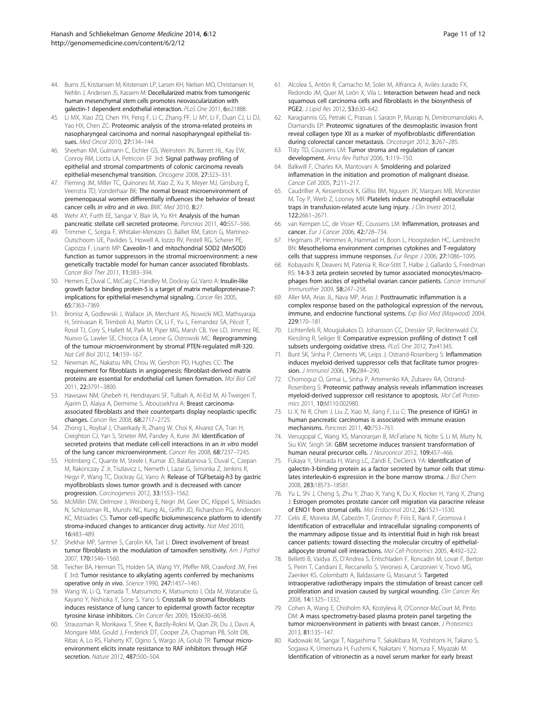- <span id="page-10-0"></span>44. Burns JS, Kristiansen M, Kristensen LP, Larsen KH, Nielsen MO, Christiansen H, Nehlin J, Andersen JS, Kassem M: Decellularized matrix from tumorigenic human mesenchymal stem cells promotes neovascularization with galectin-1 dependent endothelial interaction. PLoS One 2011, 6:e21888.
- 45. Li MX, Xiao ZQ, Chen YH, Peng F, Li C, Zhang PF, Li MY, Li F, Duan CJ, Li DJ, Yao HX, Chen ZC: Proteomic analysis of the stroma-related proteins in nasopharyngeal carcinoma and normal nasopharyngeal epithelial tissues. Med Oncol 2010, 27:134–144.
- 46. Sheehan KM, Gulmann C, Eichler GS, Weinstein JN, Barrett HL, Kay EW, Conroy RM, Liotta LA, Petricoin EF 3rd: Signal pathway profiling of epithelial and stromal compartments of colonic carcinoma reveals epithelial-mesenchymal transition. Oncogene 2008, 27:323–331.
- 47. Fleming JM, Miller TC, Quinones M, Xiao Z, Xu X, Meyer MJ, Ginsburg E, Veenstra TD, Vonderhaar BK: The normal breast microenvironment of premenopausal women differentially influences the behavior of breast cancer cells in vitro and in vivo. BMC Med 2010, 8:27.
- 48. Wehr AY, Furth EE, Sangar V, Blair IA, Yu KH: Analysis of the human pancreatic stellate cell secreted proteome. Pancreas 2011, 40:557–566.
- 49. Trimmer C, Sotgia F, Whitaker-Menezes D, Balliet RM, Eaton G, Martinez-Outschoorn UE, Pavlides S, Howell A, Iozzo RV, Pestell RG, Scherer PE, Capozza F, Lisanti MP: Caveolin-1 and mitochondrial SOD2 (MnSOD) function as tumor suppressors in the stromal microenvironment: a new genetically tractable model for human cancer associated fibroblasts. Cancer Biol Ther 2011, 11:383–394.
- 50. Hemers E, Duval C, McCaig C, Handley M, Dockray GJ, Varro A: Insulin-like growth factor binding protein-5 is a target of matrix metalloproteinase-7: implications for epithelial-mesenchymal signaling. Cancer Res 2005, 65:7363–7369.
- 51. Bronisz A, Godlewski J, Wallace JA, Merchant AS, Nowicki MO, Mathsyaraja H, Srinivasan R, Trimboli AJ, Martin CK, Li F, Yu L, Fernandez SA, Pécot T, Rosol TJ, Cory S, Hallett M, Park M, Piper MG, Marsh CB, Yee LD, Jimenez RE, Nuovo G, Lawler SE, Chiocca EA, Leone G, Ostrowski MC: Reprogramming of the tumour microenvironment by stromal PTEN-regulated miR-320. Nat Cell Biol 2012, 14:159–167.
- 52. Newman AC, Nakatsu MN, Chou W, Gershon PD, Hughes CC: The requirement for fibroblasts in angiogenesis: fibroblast-derived matrix proteins are essential for endothelial cell lumen formation. Mol Biol Cell 2011, 22:3791–3800.
- 53. Hawsawi NM, Ghebeh H, Hendrayani SF, Tulbah A, Al-Eid M, Al-Tweigeri T, Ajarim D, Alaiya A, Dermime S, Aboussekhra A: Breast carcinomaassociated fibroblasts and their counterparts display neoplastic-specific changes. Cancer Res 2008, 68:2717–2725.
- 54. Zhong L, Roybal J, Chaerkady R, Zhang W, Choi K, Alvarez CA, Tran H, Creighton CJ, Yan S, Strieter RM, Pandey A, Kurie JM: Identification of secreted proteins that mediate cell-cell interactions in an in vitro model of the lung cancer microenvironment. Cancer Res 2008, 68:7237–7245.
- 55. Holmberg C, Quante M, Steele I, Kumar JD, Balabanova S, Duval C, Czepan M, Rakonczay Z Jr, Tiszlavicz L, Nemeth I, Lazar G, Simonka Z, Jenkins R, Hegyi P, Wang TC, Dockray GJ, Varro A: Release of TGFbetaig-h3 by gastric myofibroblasts slows tumor growth and is decreased with cancer progression. Carcinogenesis 2012, 33:1553–1562.
- 56. McMillin DW, Delmore J, Weisberg E, Negri JM, Geer DC, Klippel S, Mitsiades N, Schlossman RL, Munshi NC, Kung AL, Griffin JD, Richardson PG, Anderson KC, Mitsiades CS: Tumor cell-specific bioluminescence platform to identify stroma-induced changes to anticancer drug activity. Nat Med 2010, 16:483–489.
- 57. Shekhar MP, Santner S, Carolin KA, Tait L: Direct involvement of breast tumor fibroblasts in the modulation of tamoxifen sensitivity. Am J Pathol 2007, 170:1546–1560.
- 58. Teicher BA, Herman TS, Holden SA, Wang YY, Pfeffer MR, Crawford JW, Frei E 3rd: Tumor resistance to alkylating agents conferred by mechanisms operative only in vivo. Science 1990, 247:1457–1461.
- 59. Wang W, Li Q, Yamada T, Matsumoto K, Matsumoto I, Oda M, Watanabe G, Kayano Y, Nishioka Y, Sone S, Yano S: Crosstalk to stromal fibroblasts induces resistance of lung cancer to epidermal growth factor receptor tyrosine kinase inhibitors. Clin Cancer Res 2009, 15:6630–6638.
- 60. Straussman R, Morikawa T, Shee K, Barzily-Rokni M, Qian ZR, Du J, Davis A, Mongare MM, Gould J, Frederick DT, Cooper ZA, Chapman PB, Solit DB, Ribas A, Lo RS, Flaherty KT, Ogino S, Wargo JA, Golub TR: Tumour microenvironment elicits innate resistance to RAF inhibitors through HGF secretion. Nature 2012, 487:500–504.
- 61. Alcolea S, Antón R, Camacho M, Soler M, Alfranca A, Avilés-Jurado FX, Redondo JM, Quer M, León X, Vila L: Interaction between head and neck squamous cell carcinoma cells and fibroblasts in the biosynthesis of PGE2. J Lipid Res 2012, 53:630–642.
- 62. Karagiannis GS, Petraki C, Prassas I, Saraon P, Musrap N, Dimitromanolakis A, Diamandis EP: Proteomic signatures of the desmoplastic invasion front reveal collagen type XII as a marker of myofibroblastic differentiation during colorectal cancer metastasis. Oncotarget 2012, 3:267–285.
- 63. Tlsty TD, Coussens LM: Tumor stroma and regulation of cancer development. Annu Rev Pathol 2006, 1:119–150.
- 64. Balkwill F, Charles KA, Mantovani A: Smoldering and polarized inflammation in the initiation and promotion of malignant disease. Cancer Cell 2005, 7:211–217.
- 65. Caudrillier A, Kessenbrock K, Gilliss BM, Nguyen JX, Marques MB, Monestier M, Toy P, Werb Z, Looney MR: Platelets induce neutrophil extracellular traps in transfusion-related acute lung injury. J Clin Invest 2012, 122:2661–2671.
- 66. van Kempen LC, de Visser KE, Coussens LM: Inflammation, proteases and cancer. Eur J Cancer 2006, 42:728–734.
- 67. Hegmans JP, Hemmes A, Hammad H, Boon L, Hoogsteden HC, Lambrecht BN: Mesothelioma environment comprises cytokines and T-regulatory cells that suppress immune responses. Eur Respir J 2006, 27:1086-1095.
- 68. Kobayashi R, Deavers M, Patenia R, Rice-Stitt T, Halbe J, Gallardo S, Freedman RS: 14-3-3 zeta protein secreted by tumor associated monocytes/macrophages from ascites of epithelial ovarian cancer patients. Cancer Immunol Immunother 2009, 58:247–258.
- 69. Aller MA, Arias JL, Nava MP, Arias J: Posttraumatic inflammation is a complex response based on the pathological expression of the nervous, immune, and endocrine functional systems. Exp Biol Med (Maywood) 2004, 229:170–181.
- 70. Lichtenfels R, Mougiakakos D, Johansson CC, Dressler SP, Recktenwald CV, Kiessling R, Seliger B: Comparative expression profiling of distinct T cell subsets undergoing oxidative stress. PLoS One 2012, 7:e41345.
- 71. Bunt SK, Sinha P, Clements VK, Leips J, Ostrand-Rosenberg S: Inflammation induces myeloid-derived suppressor cells that facilitate tumor progression. *J Immunol* 2006, 176:284-290.
- 72. Chornoguz O, Grmai L, Sinha P, Artemenko KA, Zubarev RA, Ostrand-Rosenberg S: Proteomic pathway analysis reveals inflammation increases myeloid-derived suppressor cell resistance to apoptosis. Mol Cell Proteomics 2011, 10:M110.002980.
- 73. Li X, Ni R, Chen J, Liu Z, Xiao M, Jiang F, Lu C: The presence of IGHG1 in human pancreatic carcinomas is associated with immune evasion mechanisms. Pancreas 2011, 40:753–761.
- 74. Venugopal C, Wang XS, Manoranjan B, McFarlane N, Nolte S, Li M, Murty N, Siu KW, Singh SK: GBM secretome induces transient transformation of human neural precursor cells. J Neurooncol 2012, 109:457-466
- 75. Fukaya Y, Shimada H, Wang LC, Zandi E, DeClerck YA: Identification of galectin-3-binding protein as a factor secreted by tumor cells that stimulates interleukin-6 expression in the bone marrow stroma. J Biol Chem 2008, 283:18573–18581.
- 76. Yu L, Shi J, Cheng S, Zhu Y, Zhao X, Yang K, Du X, Klocker H, Yang X, Zhang J: Estrogen promotes prostate cancer cell migration via paracrine release of ENO1 from stromal cells. Mol Endocrinol 2012, 26:1521–1530.
- 77. Celis JE, Moreira JM, Cabezón T, Gromov P, Friis E, Rank F, Gromova I: Identification of extracellular and intracellular signaling components of the mammary adipose tissue and its interstitial fluid in high risk breast cancer patients: toward dissecting the molecular circuitry of epithelialadipocyte stromal cell interactions. Mol Cell Proteomics 2005, 4:492–522.
- 78. Belletti B, Vaidya JS, D'Andrea S, Entschladen F, Roncadin M, Lovat F, Berton S, Perin T, Candiani E, Reccanello S, Veronesi A, Canzonieri V, Trovò MG, Zaenker KS, Colombatti A, Baldassarre G, Massarut S: Targeted intraoperative radiotherapy impairs the stimulation of breast cancer cell proliferation and invasion caused by surgical wounding. Clin Cancer Res 2008, 14:1325–1332.
- 79. Cohen A, Wang E, Chisholm KA, Kostyleva R, O'Connor-McCourt M, Pinto DM: A mass spectrometry-based plasma protein panel targeting the tumor microenvironment in patients with breast cancer. J Proteomics 2013, 81:135–147.
- 80. Kadowaki M, Sangai T, Nagashima T, Sakakibara M, Yoshitomi H, Takano S, Sogawa K, Umemura H, Fushimi K, Nakatani Y, Nomura F, Miyazaki M: Identification of vitronectin as a novel serum marker for early breast